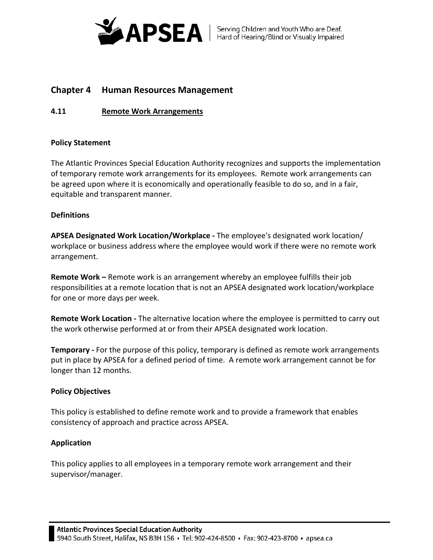

# **Chapter 4 Human Resources Management**

## **4.11 Remote Work Arrangements**

## **Policy Statement**

The Atlantic Provinces Special Education Authority recognizes and supports the implementation of temporary remote work arrangements for its employees. Remote work arrangements can be agreed upon where it is economically and operationally feasible to do so, and in a fair, equitable and transparent manner.

## **Definitions**

**APSEA Designated Work Location/Workplace -** The employee's designated work location/ workplace or business address where the employee would work if there were no remote work arrangement.

**Remote Work –** Remote work is an arrangement whereby an employee fulfills their job responsibilities at a remote location that is not an APSEA designated work location/workplace for one or more days per week.

**Remote Work Location -** The alternative location where the employee is permitted to carry out the work otherwise performed at or from their APSEA designated work location.

**Temporary -** For the purpose of this policy, temporary is defined as remote work arrangements put in place by APSEA for a defined period of time. A remote work arrangement cannot be for longer than 12 months.

## **Policy Objectives**

This policy is established to define remote work and to provide a framework that enables consistency of approach and practice across APSEA.

## **Application**

This policy applies to all employees in a temporary remote work arrangement and their supervisor/manager.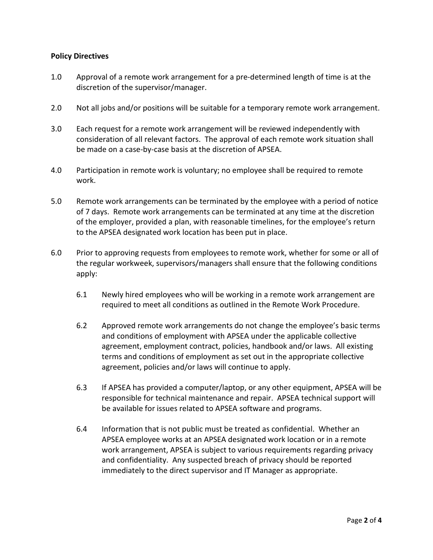## **Policy Directives**

- 1.0 Approval of a remote work arrangement for a pre-determined length of time is at the discretion of the supervisor/manager.
- 2.0 Not all jobs and/or positions will be suitable for a temporary remote work arrangement.
- 3.0 Each request for a remote work arrangement will be reviewed independently with consideration of all relevant factors. The approval of each remote work situation shall be made on a case-by-case basis at the discretion of APSEA.
- 4.0 Participation in remote work is voluntary; no employee shall be required to remote work.
- 5.0 Remote work arrangements can be terminated by the employee with a period of notice of 7 days. Remote work arrangements can be terminated at any time at the discretion of the employer, provided a plan, with reasonable timelines, for the employee's return to the APSEA designated work location has been put in place.
- 6.0 Prior to approving requests from employees to remote work, whether for some or all of the regular workweek, supervisors/managers shall ensure that the following conditions apply:
	- 6.1 Newly hired employees who will be working in a remote work arrangement are required to meet all conditions as outlined in the Remote Work Procedure.
	- 6.2 Approved remote work arrangements do not change the employee's basic terms and conditions of employment with APSEA under the applicable collective agreement, employment contract, policies, handbook and/or laws. All existing terms and conditions of employment as set out in the appropriate collective agreement, policies and/or laws will continue to apply.
	- 6.3 If APSEA has provided a computer/laptop, or any other equipment, APSEA will be responsible for technical maintenance and repair. APSEA technical support will be available for issues related to APSEA software and programs.
	- 6.4 Information that is not public must be treated as confidential. Whether an APSEA employee works at an APSEA designated work location or in a remote work arrangement, APSEA is subject to various requirements regarding privacy and confidentiality. Any suspected breach of privacy should be reported immediately to the direct supervisor and IT Manager as appropriate.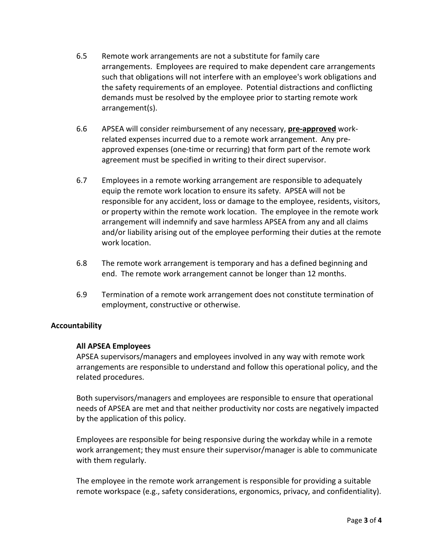- 6.5 Remote work arrangements are not a substitute for family care arrangements. Employees are required to make dependent care arrangements such that obligations will not interfere with an employee's work obligations and the safety requirements of an employee. Potential distractions and conflicting demands must be resolved by the employee prior to starting remote work arrangement(s).
- 6.6 APSEA will consider reimbursement of any necessary, **pre-approved** workrelated expenses incurred due to a remote work arrangement. Any preapproved expenses (one-time or recurring) that form part of the remote work agreement must be specified in writing to their direct supervisor.
- 6.7 Employees in a remote working arrangement are responsible to adequately equip the remote work location to ensure its safety. APSEA will not be responsible for any accident, loss or damage to the employee, residents, visitors, or property within the remote work location. The employee in the remote work arrangement will indemnify and save harmless APSEA from any and all claims and/or liability arising out of the employee performing their duties at the remote work location.
- 6.8 The remote work arrangement is temporary and has a defined beginning and end. The remote work arrangement cannot be longer than 12 months.
- 6.9 Termination of a remote work arrangement does not constitute termination of employment, constructive or otherwise.

## **Accountability**

#### **All APSEA Employees**

APSEA supervisors/managers and employees involved in any way with remote work arrangements are responsible to understand and follow this operational policy, and the related procedures.

Both supervisors/managers and employees are responsible to ensure that operational needs of APSEA are met and that neither productivity nor costs are negatively impacted by the application of this policy.

Employees are responsible for being responsive during the workday while in a remote work arrangement; they must ensure their supervisor/manager is able to communicate with them regularly.

The employee in the remote work arrangement is responsible for providing a suitable remote workspace (e.g., safety considerations, ergonomics, privacy, and confidentiality).